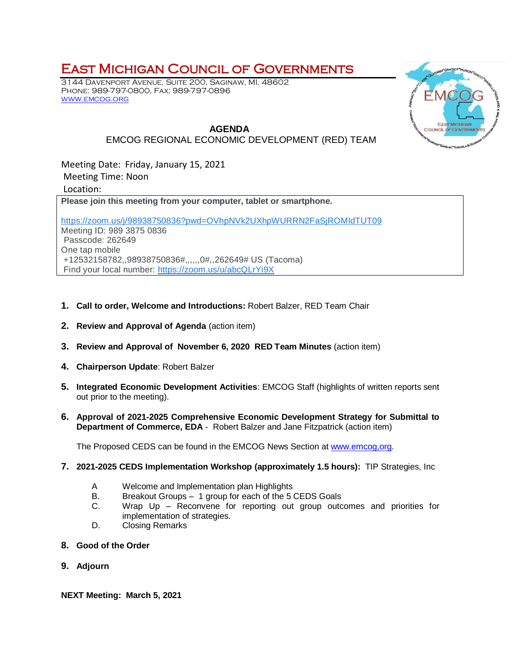## East Michigan Council of Governments

3144 Davenport Avenue, Suite 200, Saginaw, MI. 48602 Phone: 989-797-0800, Fax: 989-797-0896 [www.emcog.org](http://www.emcog.org/)



## **AGENDA** EMCOG REGIONAL ECONOMIC DEVELOPMENT (RED) TEAM

Meeting Date: Friday, January 15, 2021 Meeting Time: Noon Location:

**Please join this meeting from your computer, tablet or smartphone.**

[https://zoom.us/j/98938750836?pwd=OVhpNVk2UXhpWURRN2FaSjROMldTUT09](https://www.google.com/url?q=https://zoom.us/j/98938750836?pwd%3DOVhpNVk2UXhpWURRN2FaSjROMldTUT09&sa=D&source=calendar&ust=1610467017173000&usg=AOvVaw14ly9LOP_at8Axl4h8r74x) Meeting ID: 989 3875 0836 Passcode: 262649 One tap mobile +12532158782,,98938750836#,,,,,,0#,,262649# US (Tacoma) Find your local number: [https://zoom.us/u/abcQLrYi9X](https://www.google.com/url?q=https://zoom.us/u/abcQLrYi9X&sa=D&source=calendar&ust=1610467017173000&usg=AOvVaw1mpOQyUHlD_CGK9SnGVjCg)

- **1. Call to order, Welcome and Introductions:** Robert Balzer, RED Team Chair
- **2. Review and Approval of Agenda** (action item)
- **3. Review and Approval of November 6, 2020 RED Team Minutes** (action item)
- **4. Chairperson Update**: Robert Balzer
- **5. Integrated Economic Development Activities**: EMCOG Staff (highlights of written reports sent out prior to the meeting).
- **6. Approval of 2021-2025 Comprehensive Economic Development Strategy for Submittal to Department of Commerce, EDA** - Robert Balzer and Jane Fitzpatrick (action item)

The Proposed CEDS can be found in the EMCOG News Section at www.emcog.org.

- **7. 2021-2025 CEDS Implementation Workshop (approximately 1.5 hours):** TIP Strategies, Inc
	- A Welcome and Implementation plan Highlights
	- B. Breakout Groups 1 group for each of the 5 CEDS Goals
	- C. Wrap Up Reconvene for reporting out group outcomes and priorities for implementation of strategies.
	- D. Closing Remarks
- **8. Good of the Order**
- **9. Adjourn**

**NEXT Meeting: March 5, 2021**